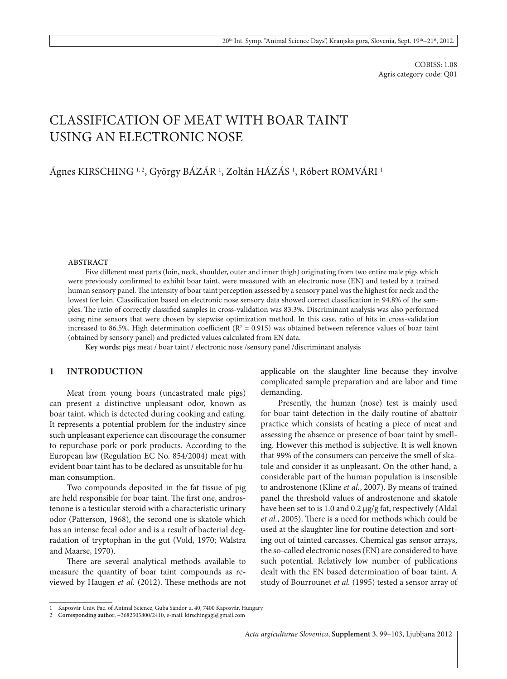COBISS: 1.08 Agris category code: Q01

# Classification of meat with boar taint using an electronic nose

Ágnes KIRSCHING 1,2, György BÁZÁR <sup>1</sup>, Zoltán HÁZÁS <sup>1</sup>, Róbert ROMVÁRI <sup>1</sup>

#### **ABSTRACT**

Five different meat parts (loin, neck, shoulder, outer and inner thigh) originating from two entire male pigs which were previously confirmed to exhibit boar taint, were measured with an electronic nose (EN) and tested by a trained human sensory panel. The intensity of boar taint perception assessed by a sensory panel was the highest for neck and the lowest for loin. Classification based on electronic nose sensory data showed correct classification in 94.8% of the samples. The ratio of correctly classified samples in cross-validation was 83.3%. Discriminant analysis was also performed using nine sensors that were chosen by stepwise optimization method. In this case, ratio of hits in cross-validation increased to 86.5%. High determination coefficient ( $R^2 = 0.915$ ) was obtained between reference values of boar taint (obtained by sensory panel) and predicted values calculated from EN data.

**Key words:** pigs meat / boar taint / electronic nose /sensory panel /discriminant analysis

## **1 INTRODUCTION**

Meat from young boars (uncastrated male pigs) can present a distinctive unpleasant odor, known as boar taint, which is detected during cooking and eating. It represents a potential problem for the industry since such unpleasant experience can discourage the consumer to repurchase pork or pork products. According to the European law (Regulation EC No. 854/2004) meat with evident boar taint has to be declared as unsuitable for human consumption.

Two compounds deposited in the fat tissue of pig are held responsible for boar taint. The first one, androstenone is a testicular steroid with a characteristic urinary odor (Patterson, 1968), the second one is skatole which has an intense fecal odor and is a result of bacterial degradation of tryptophan in the gut (Vold, 1970; Walstra and Maarse, 1970).

There are several analytical methods available to measure the quantity of boar taint compounds as reviewed by Haugen *et al.* (2012). These methods are not applicable on the slaughter line because they involve complicated sample preparation and are labor and time demanding.

Presently, the human (nose) test is mainly used for boar taint detection in the daily routine of abattoir practice which consists of heating a piece of meat and assessing the absence or presence of boar taint by smelling. However this method is subjective. It is well known that 99% of the consumers can perceive the smell of skatole and consider it as unpleasant. On the other hand, a considerable part of the human population is insensible to androstenone (Kline *et al.*, 2007). By means of trained panel the threshold values of androstenone and skatole have been set to is 1.0 and 0.2 μg/g fat, respectively (Aldal *et al.*, 2005). There is a need for methods which could be used at the slaughter line for routine detection and sorting out of tainted carcasses. Chemical gas sensor arrays, the so-called electronic noses (EN) are considered to have such potential. Relatively low number of publications dealt with the EN based determination of boar taint. A study of Bourrounet *et al.* (1995) tested a sensor array of

<sup>1</sup> Kaposvár Univ. Fac. of Animal Science, Guba Sándor u. 40, 7400 Kaposvár, Hungary

<sup>2</sup> **Corresponding author**, +3682505800/2410, e-mail: kirschingagi@gmail.com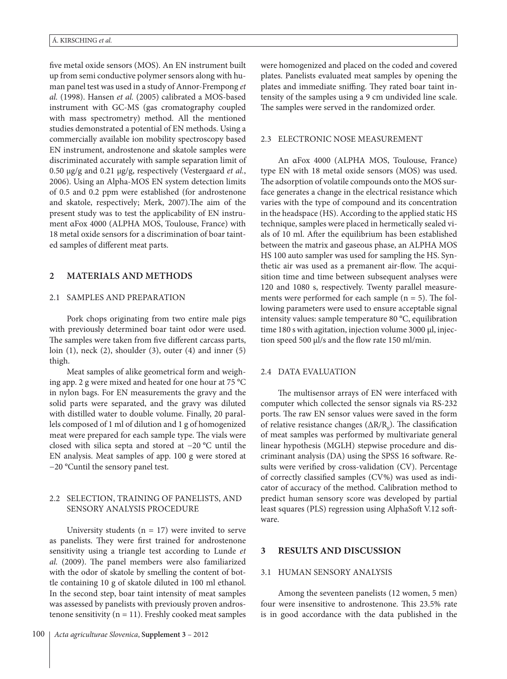five metal oxide sensors (MOS). An EN instrument built up from semi conductive polymer sensors along with human panel test was used in a study of Annor-Frempong *et al.* (1998). Hansen *et al.* (2005) calibrated a MOS-based instrument with GC-MS (gas cromatography coupled with mass spectrometry) method. All the mentioned studies demonstrated a potential of EN methods. Using a commercially available ion mobility spectroscopy based EN instrument, androstenone and skatole samples were discriminated accurately with sample separation limit of 0.50 μg/g and 0.21 μg/g, respectively (Vestergaard *et al.*, 2006). Using an Alpha-MOS EN system detection limits of 0.5 and 0.2 ppm were established (for androstenone and skatole, respectively; Merk, 2007).The aim of the present study was to test the applicability of EN instrument αFox 4000 (ALPHA MOS, Toulouse, France) with 18 metal oxide sensors for a discrimination of boar tainted samples of different meat parts.

## **2 MATERIALS AND METHODS**

## 2.1 Samples and preparation

Pork chops originating from two entire male pigs with previously determined boar taint odor were used. The samples were taken from five different carcass parts, loin (1), neck (2), shoulder (3), outer (4) and inner (5) thigh.

Meat samples of alike geometrical form and weighing app. 2 g were mixed and heated for one hour at 75 °C in nylon bags. For EN measurements the gravy and the solid parts were separated, and the gravy was diluted with distilled water to double volume. Finally, 20 parallels composed of 1 ml of dilution and 1 g of homogenized meat were prepared for each sample type. The vials were closed with silica septa and stored at −20 °C until the EN analysis. Meat samples of app. 100 g were stored at −20 °Cuntil the sensory panel test.

### 2.2 Selection, training of panelists, and sensory analysis procedure

University students  $(n = 17)$  were invited to serve as panelists. They were first trained for androstenone sensitivity using a triangle test according to Lunde *et al.* (2009). The panel members were also familiarized with the odor of skatole by smelling the content of bottle containing 10 g of skatole diluted in 100 ml ethanol. In the second step, boar taint intensity of meat samples was assessed by panelists with previously proven androstenone sensitivity ( $n = 11$ ). Freshly cooked meat samples were homogenized and placed on the coded and covered plates. Panelists evaluated meat samples by opening the plates and immediate sniffing. They rated boar taint intensity of the samples using a 9 cm undivided line scale. The samples were served in the randomized order.

#### 2.3 Electronic nose measurement

An αFox 4000 (ALPHA MOS, Toulouse, France) type EN with 18 metal oxide sensors (MOS) was used. The adsorption of volatile compounds onto the MOS surface generates a change in the electrical resistance which varies with the type of compound and its concentration in the headspace (HS). According to the applied static HS technique, samples were placed in hermetically sealed vials of 10 ml. After the equilibrium has been established between the matrix and gaseous phase, an ALPHA MOS HS 100 auto sampler was used for sampling the HS. Synthetic air was used as a premanent air-flow. The acquisition time and time between subsequent analyses were 120 and 1080 s, respectively. Twenty parallel measurements were performed for each sample  $(n = 5)$ . The following parameters were used to ensure acceptable signal intensity values: sample temperature 80 °C, equilibration time 180 s with agitation, injection volume 3000 µl, injection speed 500 µl/s and the flow rate 150 ml/min.

#### 2.4 DATA EVALUATION

The multisensor arrays of EN were interfaced with computer which collected the sensor signals via RS-232 ports. The raw EN sensor values were saved in the form of relative resistance changes ( $\Delta R/R_0$ ). The classification of meat samples was performed by multivariate general linear hypothesis (MGLH) stepwise procedure and discriminant analysis (DA) using the SPSS 16 software. Results were verified by cross-validation (CV). Percentage of correctly classified samples (CV%) was used as indicator of accuracy of the method. Calibration method to predict human sensory score was developed by partial least squares (PLS) regression using AlphaSoft V.12 software.

#### **3 RESULTS AND DISCUSSION**

#### 3.1 Human sensory analysis

Among the seventeen panelists (12 women, 5 men) four were insensitive to androstenone. This 23.5% rate is in good accordance with the data published in the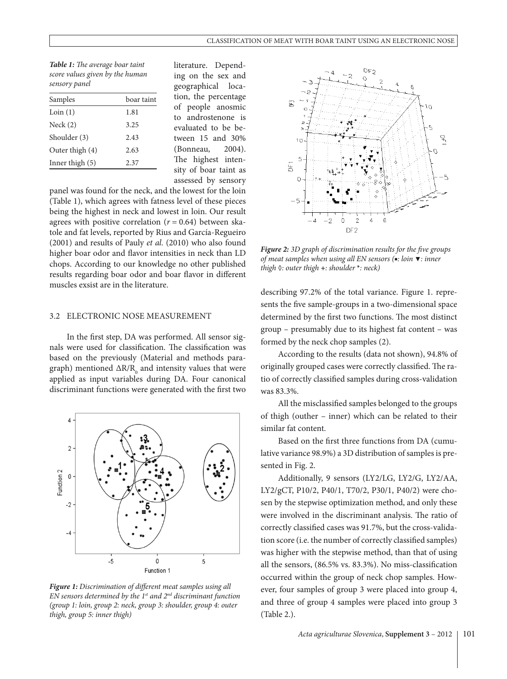*Table 1: The average boar taint score values given by the human sensory panel*

| Samples           | boar taint |  |
|-------------------|------------|--|
| Loin(1)           | 1.81       |  |
| Neck(2)           | 3.25       |  |
| Shoulder (3)      | 2.43       |  |
| Outer thigh (4)   | 2.63       |  |
| Inner thigh $(5)$ | 2.37       |  |
|                   |            |  |

literature. Depending on the sex and geographical location, the percentage of people anosmic to androstenone is evaluated to be between 15 and 30% (Bonneau, 2004). The highest intensity of boar taint as assessed by sensory

panel was found for the neck, and the lowest for the loin (Table 1), which agrees with fatness level of these pieces being the highest in neck and lowest in loin. Our result agrees with positive correlation  $(r = 0.64)$  between skatole and fat levels, reported by Rius and García-Regueiro (2001) and results of Pauly *et al.* (2010) who also found higher boar odor and flavor intensities in neck than LD chops. According to our knowledge no other published results regarding boar odor and boar flavor in different muscles exsist are in the literature.

# 3.2 Electronic nose measurement

In the first step, DA was performed. All sensor signals were used for classification. The classification was based on the previously (Material and methods paragraph) mentioned  $\Delta R/R_0$  and intensity values that were applied as input variables during DA. Four canonical discriminant functions were generated with the first two



*Figure 1: Discrimination of different meat samples using all EN sensors determined by the 1st and 2nd discriminant function (group 1: loin, group 2: neck, group 3: shoulder, group 4: outer thigh, group 5: inner thigh)*



*Figure 2: 3D graph of discrimination results for the five groups of meat samples when using all EN sensors (***■***: loin* **▼***: inner thigh* **◊***: outer thigh* **+***: shoulder* **\****: neck)*

describing 97.2% of the total variance. Figure 1. represents the five sample-groups in a two-dimensional space determined by the first two functions. The most distinct group – presumably due to its highest fat content – was formed by the neck chop samples (2).

According to the results (data not shown), 94.8% of originally grouped cases were correctly classified. The ratio of correctly classified samples during cross-validation was 83.3%.

All the misclassified samples belonged to the groups of thigh (outher – inner) which can be related to their similar fat content.

Based on the first three functions from DA (cumulative variance 98.9%) a 3D distribution of samples is presented in Fig. 2.

Additionally, 9 sensors (LY2/LG, LY2/G, LY2/AA, LY2/gCT, P10/2, P40/1, T70/2, P30/1, P40/2) were chosen by the stepwise optimization method, and only these were involved in the discriminant analysis. The ratio of correctly classified cases was 91.7%, but the cross-validation score (i.e. the number of correctly classified samples) was higher with the stepwise method, than that of using all the sensors, (86.5% vs. 83.3%). No miss-classification occurred within the group of neck chop samples. However, four samples of group 3 were placed into group 4, and three of group 4 samples were placed into group 3 (Table 2.).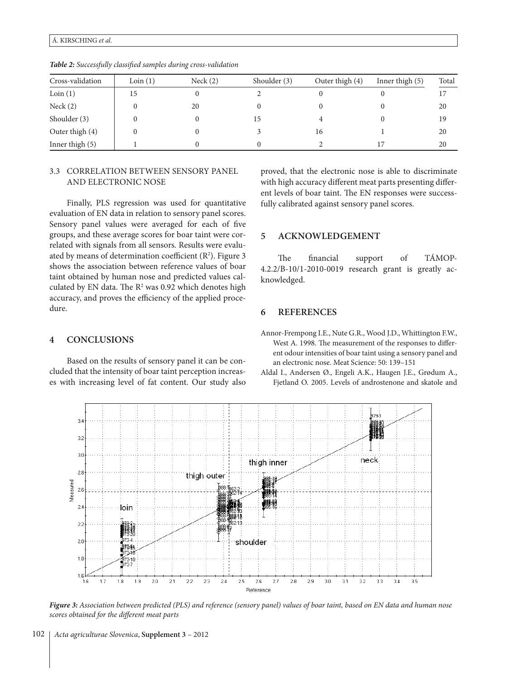*scores obtained for the different meat parts*

#### Á. KIRSCHING *et al.*

| Cross-validation | Loin(1) | Neck(2) | Shoulder (3) | Outer thigh $(4)$ | Inner thigh (5) | Total |
|------------------|---------|---------|--------------|-------------------|-----------------|-------|
| Loin(1)          | 15      |         |              |                   |                 | 17    |
| Nack(2)          |         | 20      |              |                   |                 | 20    |
| Shoulder (3)     |         |         | 15           |                   |                 | 19    |
| Outer thigh (4)  |         |         |              | 16                |                 | 20    |
| Inner thigh (5)  |         |         |              |                   |                 | 20    |

*Table 2: Successfully classified samples during cross-validation*

# 3.3 Correlation between sensory panel and electronic nose

Finally, PLS regression was used for quantitative evaluation of EN data in relation to sensory panel scores. Sensory panel values were averaged for each of five groups, and these average scores for boar taint were correlated with signals from all sensors. Results were evaluated by means of determination coefficient  $(R<sup>2</sup>)$ . Figure 3 shows the association between reference values of boar taint obtained by human nose and predicted values calculated by EN data. The  $R^2$  was 0.92 which denotes high accuracy, and proves the efficiency of the applied procedure.

# **4 CONCLUSIONS**

Based on the results of sensory panel it can be concluded that the intensity of boar taint perception increases with increasing level of fat content. Our study also proved, that the electronic nose is able to discriminate with high accuracy different meat parts presenting different levels of boar taint. The EN responses were successfully calibrated against sensory panel scores.

# **5 ACKNOWLEDGEMENT**

The financial support of TÁMOP-4.2.2/B-10/1-2010-0019 research grant is greatly acknowledged.

# **6 REFERENCES**

Annor-Frempong I.E., Nute G.R., Wood J.D., Whittington F.W., West A. 1998. The measurement of the responses to different odour intensities of boar taint using a sensory panel and an electronic nose. Meat Science: 50: 139–151

Aldal I., Andersen Ø., Engeli A.K., Haugen J.E., Grødum A., Fjetland O. 2005. Levels of androstenone and skatole and

 $1.6$  $1.7$  $1.8$  $1.9$  $2.0$  $2.1$  $2.2$  $23$  $2.4$ 25  $26$ 27  $28$ 2.9  $3.0$  $3.1$  $3.2$  $3.3$  $3.4$  $3.5$  $1.6$ Reference *Figure 3: Association between predicted (PLS) and reference (sensory panel) values of boar taint, based on EN data and human nose*